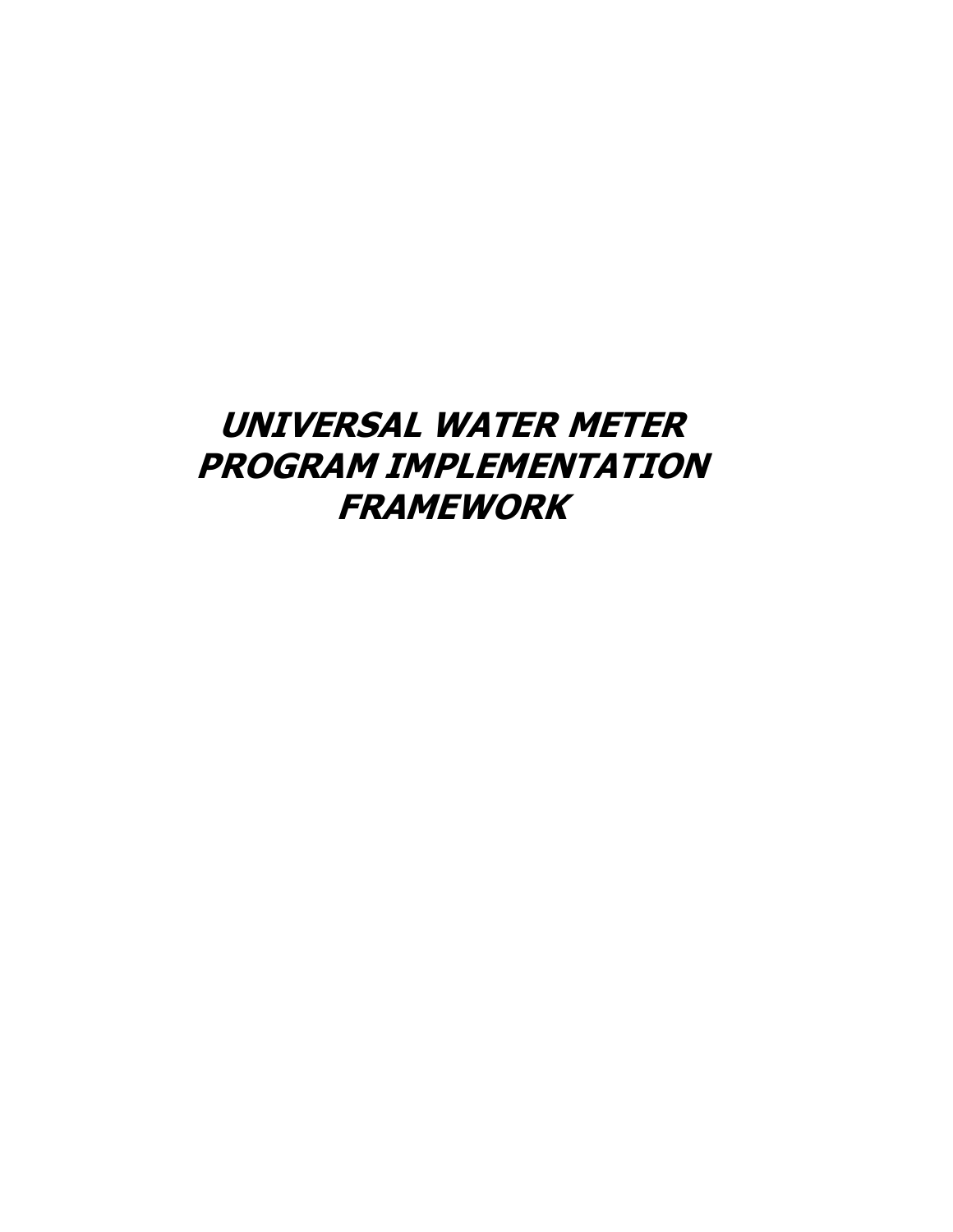# **UNIVERSAL WATER METER PROGRAM IMPLEMENTATION FRAMEWORK**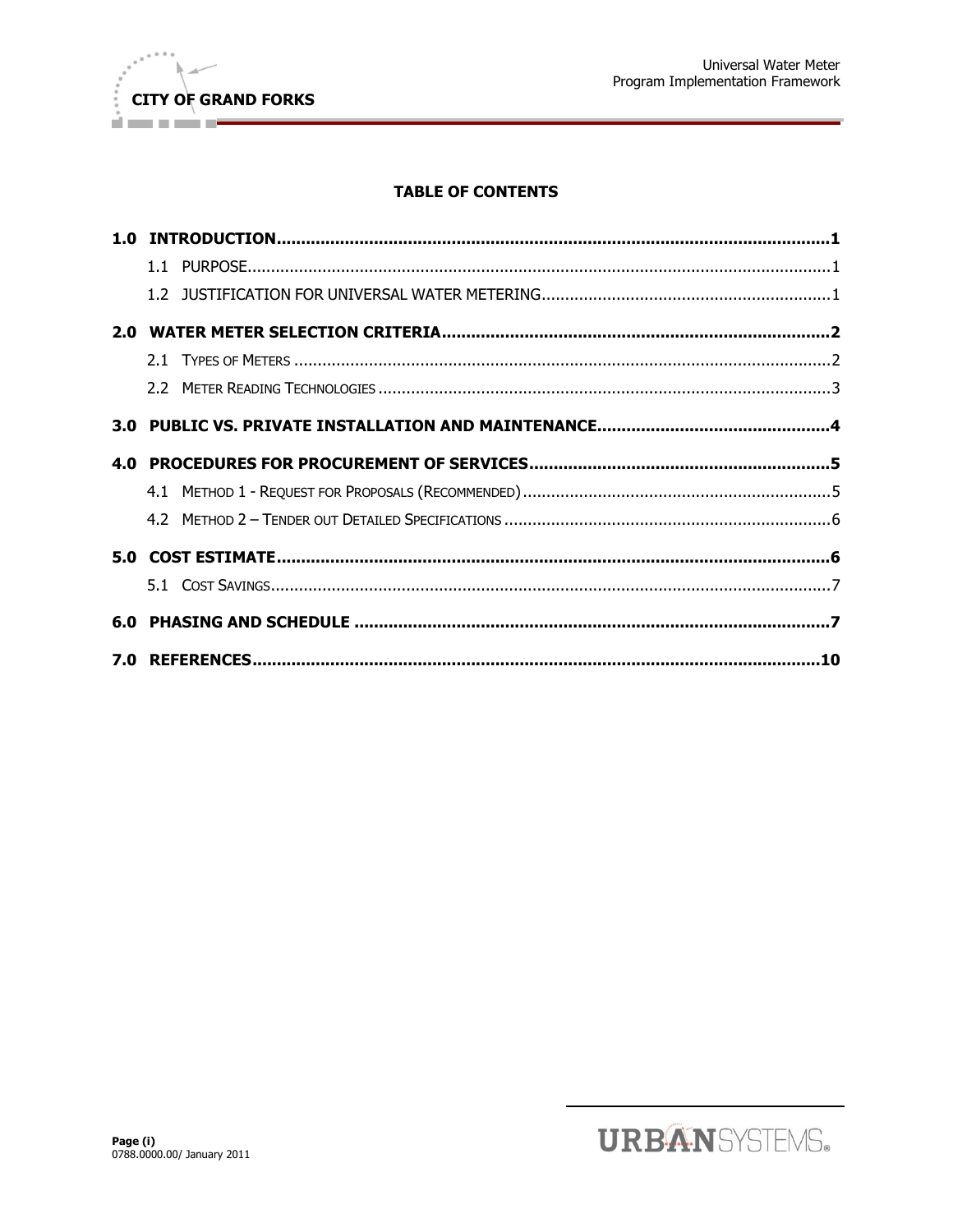

# **TABLE OF CONTENTS**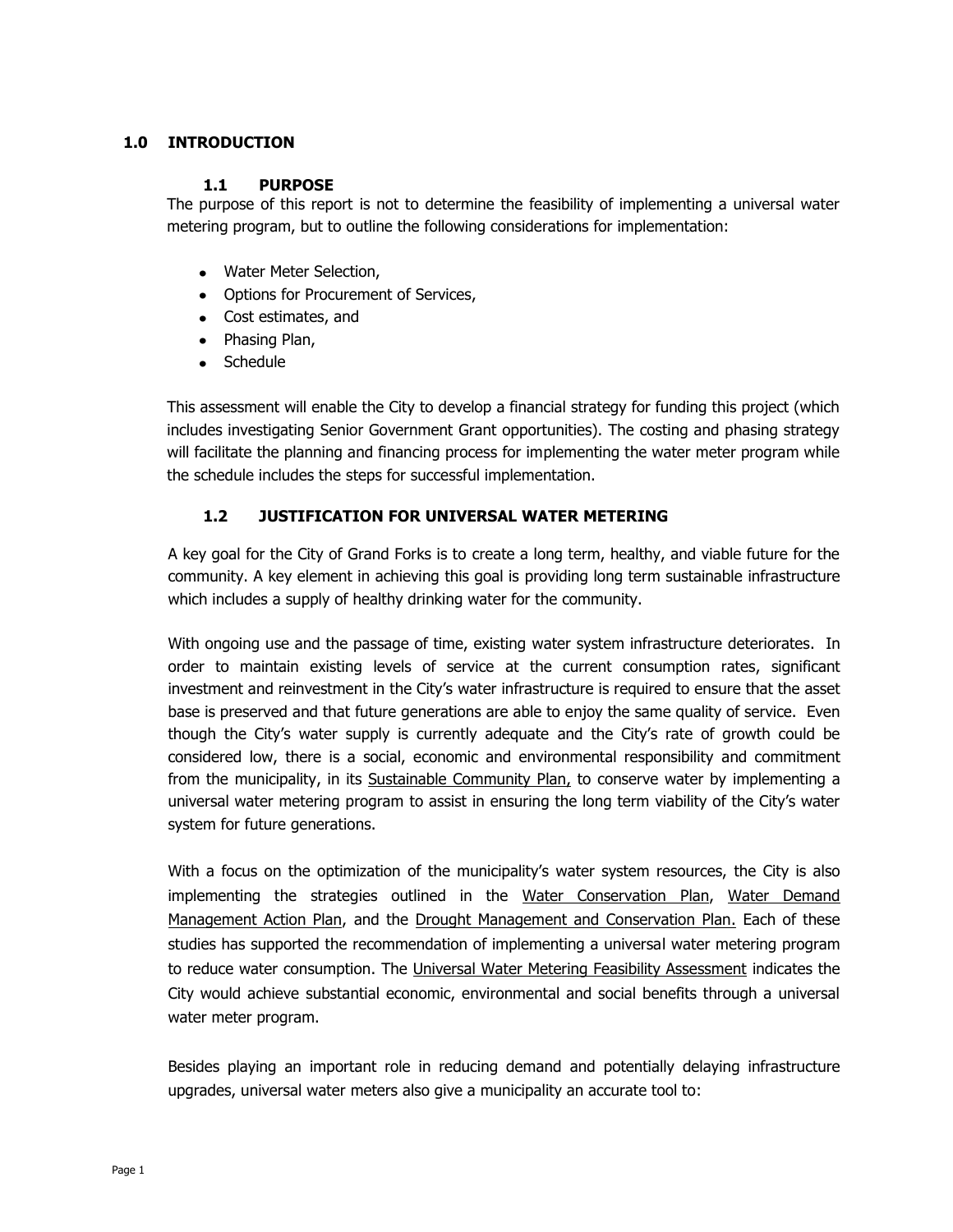# <span id="page-2-1"></span><span id="page-2-0"></span>**1.0 INTRODUCTION**

## **1.1 PURPOSE**

The purpose of this report is not to determine the feasibility of implementing a universal water metering program, but to outline the following considerations for implementation:

- Water Meter Selection,
- Options for Procurement of Services,
- Cost estimates, and
- Phasing Plan,
- Schedule

This assessment will enable the City to develop a financial strategy for funding this project (which includes investigating Senior Government Grant opportunities). The costing and phasing strategy will facilitate the planning and financing process for implementing the water meter program while the schedule includes the steps for successful implementation.

# **1.2 JUSTIFICATION FOR UNIVERSAL WATER METERING**

<span id="page-2-2"></span>A key goal for the City of Grand Forks is to create a long term, healthy, and viable future for the community. A key element in achieving this goal is providing long term sustainable infrastructure which includes a supply of healthy drinking water for the community.

With ongoing use and the passage of time, existing water system infrastructure deteriorates. In order to maintain existing levels of service at the current consumption rates, significant investment and reinvestment in the City's water infrastructure is required to ensure that the asset base is preserved and that future generations are able to enjoy the same quality of service. Even though the City's water supply is currently adequate and the City's rate of growth could be considered low, there is a social, economic and environmental responsibility and commitment from the municipality, in its Sustainable Community Plan, to conserve water by implementing a universal water metering program to assist in ensuring the long term viability of the City's water system for future generations.

With a focus on the optimization of the municipality's water system resources, the City is also implementing the strategies outlined in the Water Conservation Plan, Water Demand Management Action Plan, and the Drought Management and Conservation Plan. Each of these studies has supported the recommendation of implementing a universal water metering program to reduce water consumption. The Universal Water Metering Feasibility Assessment indicates the City would achieve substantial economic, environmental and social benefits through a universal water meter program.

Besides playing an important role in reducing demand and potentially delaying infrastructure upgrades, universal water meters also give a municipality an accurate tool to: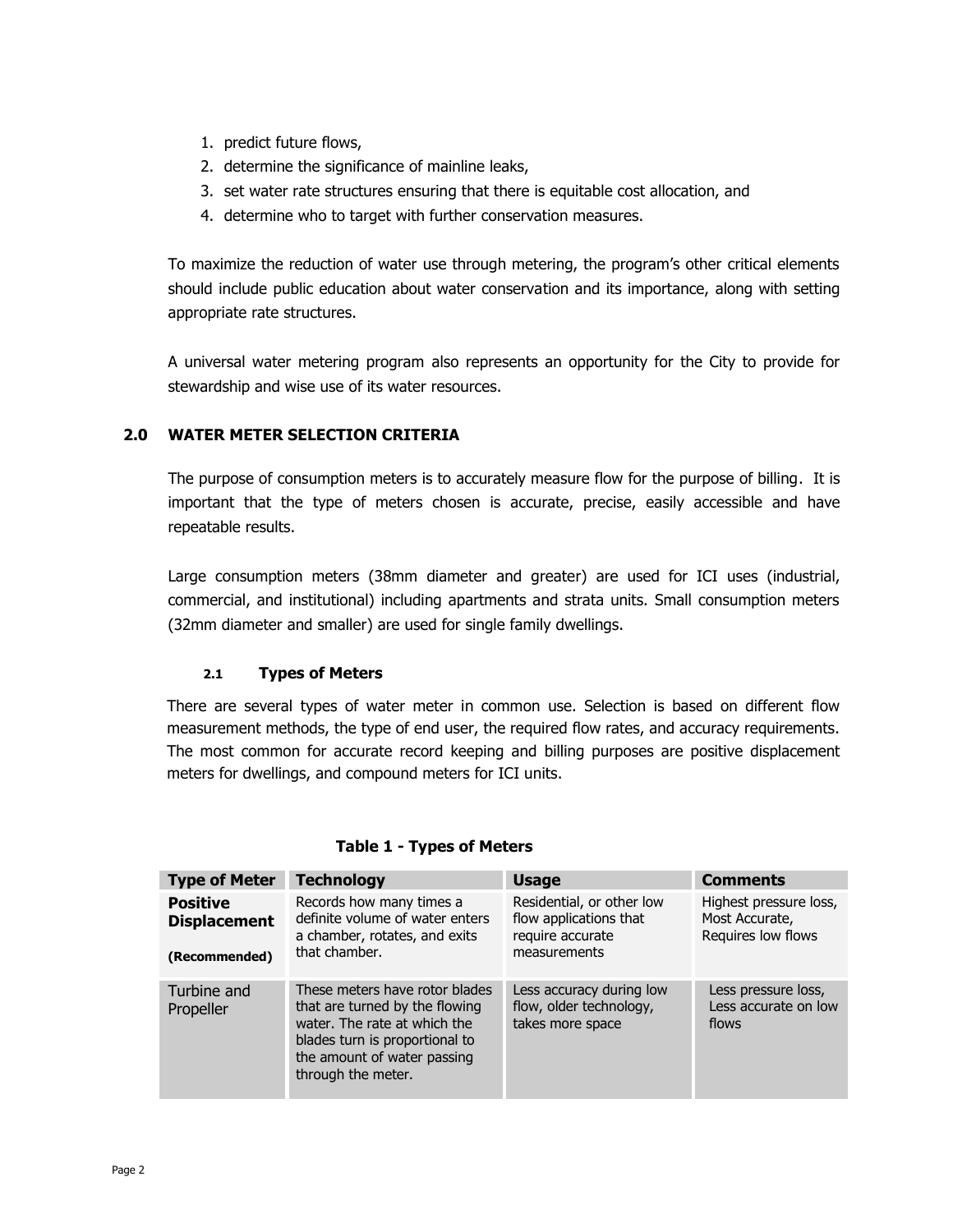- 1. predict future flows,
- 2. determine the significance of mainline leaks,
- 3. set water rate structures ensuring that there is equitable cost allocation, and
- 4. determine who to target with further conservation measures.

To maximize the reduction of water use through metering, the program's other critical elements should include public education about water conservation and its importance, along with setting appropriate rate structures.

A universal water metering program also represents an opportunity for the City to provide for stewardship and wise use of its water resources.

# <span id="page-3-0"></span>**2.0 WATER METER SELECTION CRITERIA**

The purpose of consumption meters is to accurately measure flow for the purpose of billing. It is important that the type of meters chosen is accurate, precise, easily accessible and have repeatable results.

Large consumption meters (38mm diameter and greater) are used for ICI uses (industrial, commercial, and institutional) including apartments and strata units. Small consumption meters (32mm diameter and smaller) are used for single family dwellings.

## **2.1 Types of Meters**

<span id="page-3-1"></span>There are several types of water meter in common use. Selection is based on different flow measurement methods, the type of end user, the required flow rates, and accuracy requirements. The most common for accurate record keeping and billing purposes are positive displacement meters for dwellings, and compound meters for ICI units.

| <b>Type of Meter</b>                                    | <b>Technology</b>                                                                                                                                                                       | <b>Usage</b>                                                                            | <b>Comments</b>                                                |
|---------------------------------------------------------|-----------------------------------------------------------------------------------------------------------------------------------------------------------------------------------------|-----------------------------------------------------------------------------------------|----------------------------------------------------------------|
| <b>Positive</b><br><b>Displacement</b><br>(Recommended) | Records how many times a<br>definite volume of water enters<br>a chamber, rotates, and exits<br>that chamber.                                                                           | Residential, or other low<br>flow applications that<br>require accurate<br>measurements | Highest pressure loss,<br>Most Accurate,<br>Requires low flows |
| Turbine and<br>Propeller                                | These meters have rotor blades<br>that are turned by the flowing<br>water. The rate at which the<br>blades turn is proportional to<br>the amount of water passing<br>through the meter. | Less accuracy during low<br>flow, older technology,<br>takes more space                 | Less pressure loss,<br>Less accurate on low<br>flows           |

## **Table 1 - Types of Meters**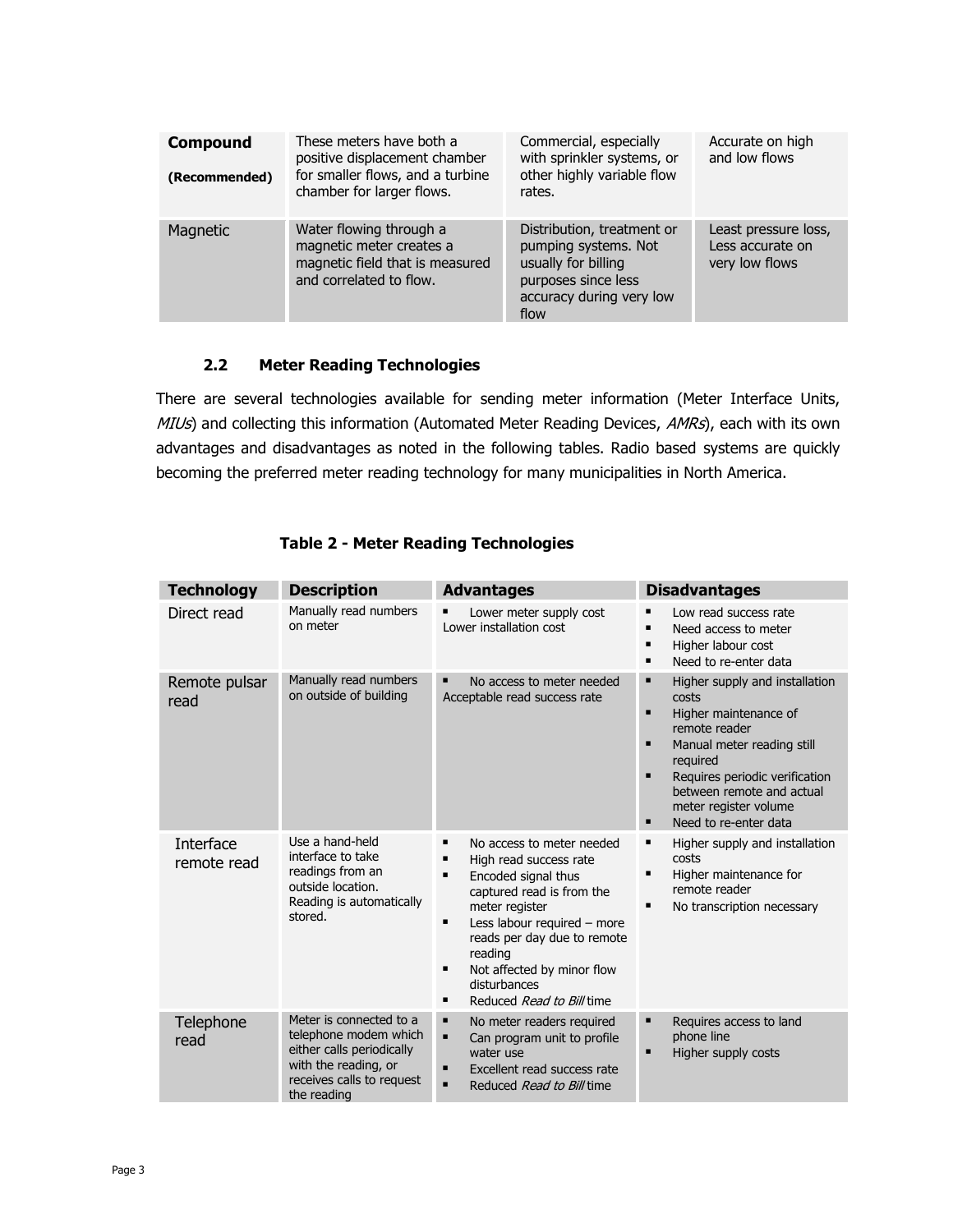| <b>Compound</b><br>(Recommended) | These meters have both a<br>positive displacement chamber<br>for smaller flows, and a turbine<br>chamber for larger flows. | Commercial, especially<br>with sprinkler systems, or<br>other highly variable flow<br>rates.                                         | Accurate on high<br>and low flows                          |
|----------------------------------|----------------------------------------------------------------------------------------------------------------------------|--------------------------------------------------------------------------------------------------------------------------------------|------------------------------------------------------------|
| Magnetic                         | Water flowing through a<br>magnetic meter creates a<br>magnetic field that is measured<br>and correlated to flow.          | Distribution, treatment or<br>pumping systems. Not<br>usually for billing<br>purposes since less<br>accuracy during very low<br>flow | Least pressure loss,<br>Less accurate on<br>very low flows |

# **2.2 Meter Reading Technologies**

<span id="page-4-0"></span>There are several technologies available for sending meter information (Meter Interface Units, MIUs) and collecting this information (Automated Meter Reading Devices, AMRs), each with its own advantages and disadvantages as noted in the following tables. Radio based systems are quickly becoming the preferred meter reading technology for many municipalities in North America.

| <b>Technology</b>        | <b>Description</b>                                                                                                                                | <b>Advantages</b>                                                                                                                                                                                                                                                                                           | <b>Disadvantages</b>                                                                                                                                                                                                                                                                            |
|--------------------------|---------------------------------------------------------------------------------------------------------------------------------------------------|-------------------------------------------------------------------------------------------------------------------------------------------------------------------------------------------------------------------------------------------------------------------------------------------------------------|-------------------------------------------------------------------------------------------------------------------------------------------------------------------------------------------------------------------------------------------------------------------------------------------------|
| Direct read              | Manually read numbers<br>on meter                                                                                                                 | Lower meter supply cost<br>Lower installation cost                                                                                                                                                                                                                                                          | Low read success rate<br>$\blacksquare$<br>Need access to meter<br>Higher labour cost<br>٠<br>Need to re-enter data<br>$\blacksquare$                                                                                                                                                           |
| Remote pulsar<br>read    | Manually read numbers<br>on outside of building                                                                                                   | ٠<br>No access to meter needed<br>Acceptable read success rate                                                                                                                                                                                                                                              | Higher supply and installation<br>٠<br>costs<br>$\blacksquare$<br>Higher maintenance of<br>remote reader<br>п<br>Manual meter reading still<br>required<br>$\blacksquare$<br>Requires periodic verification<br>between remote and actual<br>meter register volume<br>Need to re-enter data<br>п |
| Interface<br>remote read | Use a hand-held<br>interface to take<br>readings from an<br>outside location.<br>Reading is automatically<br>stored.                              | No access to meter needed<br>٠<br>High read success rate<br>Ξ<br>Encoded signal thus<br>٠<br>captured read is from the<br>meter register<br>Less labour required - more<br>٠<br>reads per day due to remote<br>reading<br>Not affected by minor flow<br>٠<br>disturbances<br>Reduced Read to Bill time<br>٠ | Higher supply and installation<br>٠<br>costs<br>$\blacksquare$<br>Higher maintenance for<br>remote reader<br>No transcription necessary                                                                                                                                                         |
| Telephone<br>read        | Meter is connected to a<br>telephone modem which<br>either calls periodically<br>with the reading, or<br>receives calls to request<br>the reading | ٠<br>No meter readers required<br>٠<br>Can program unit to profile<br>water use<br>Excellent read success rate<br>▪<br>Reduced Read to Bill time                                                                                                                                                            | п<br>Requires access to land<br>phone line<br>Higher supply costs<br>п                                                                                                                                                                                                                          |

# **Table 2 - Meter Reading Technologies**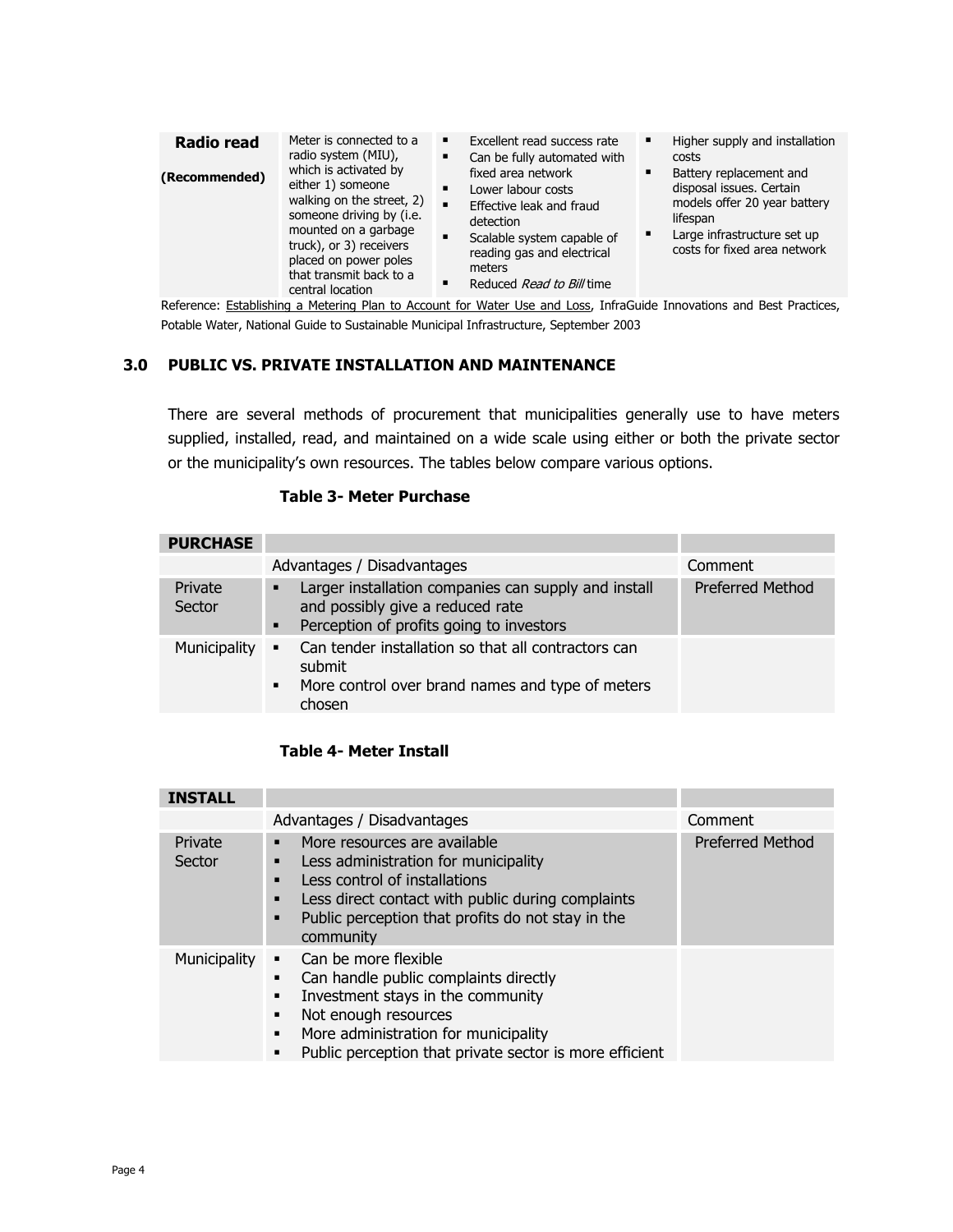| <b>Radio read</b><br>(Recommended) | Meter is connected to a<br>radio system (MIU),<br>which is activated by<br>either 1) someone<br>walking on the street, 2)<br>someone driving by (i.e.<br>mounted on a garbage<br>truck), or 3) receivers<br>placed on power poles<br>that transmit back to a<br>central location | Excellent read success rate<br>Can be fully automated with<br>٠<br>fixed area network<br>$\blacksquare$<br>Lower labour costs<br>$\blacksquare$<br>Effective leak and fraud<br>detection<br>$\blacksquare$<br>Scalable system capable of<br>reading gas and electrical<br>meters<br>Reduced Read to Bill time | Higher supply and installation<br>٠<br>costs<br>Battery replacement and<br>٠<br>disposal issues. Certain<br>models offer 20 year battery<br>lifespan<br>Large infrastructure set up<br>٠<br>costs for fixed area network |
|------------------------------------|----------------------------------------------------------------------------------------------------------------------------------------------------------------------------------------------------------------------------------------------------------------------------------|---------------------------------------------------------------------------------------------------------------------------------------------------------------------------------------------------------------------------------------------------------------------------------------------------------------|--------------------------------------------------------------------------------------------------------------------------------------------------------------------------------------------------------------------------|
|------------------------------------|----------------------------------------------------------------------------------------------------------------------------------------------------------------------------------------------------------------------------------------------------------------------------------|---------------------------------------------------------------------------------------------------------------------------------------------------------------------------------------------------------------------------------------------------------------------------------------------------------------|--------------------------------------------------------------------------------------------------------------------------------------------------------------------------------------------------------------------------|

Reference: Establishing a Metering Plan to Account for Water Use and Loss, InfraGuide Innovations and Best Practices, Potable Water, National Guide to Sustainable Municipal Infrastructure, September 2003

#### <span id="page-5-0"></span>**3.0 PUBLIC VS. PRIVATE INSTALLATION AND MAINTENANCE**

There are several methods of procurement that municipalities generally use to have meters supplied, installed, read, and maintained on a wide scale using either or both the private sector or the municipality's own resources. The tables below compare various options.

## **Table 3- Meter Purchase**

| <b>PURCHASE</b>   |                                                                                                                                                                 |                         |
|-------------------|-----------------------------------------------------------------------------------------------------------------------------------------------------------------|-------------------------|
|                   | Advantages / Disadvantages                                                                                                                                      | Comment                 |
| Private<br>Sector | Larger installation companies can supply and install<br>٠<br>and possibly give a reduced rate<br>Perception of profits going to investors<br>$\blacksquare$     | <b>Preferred Method</b> |
| Municipality      | Can tender installation so that all contractors can<br>$\blacksquare$<br>submit<br>More control over brand names and type of meters<br>$\blacksquare$<br>chosen |                         |

#### **Table 4- Meter Install**

| <b>INSTALL</b>    |                                                                                                                                                                                                                                                                             |                         |
|-------------------|-----------------------------------------------------------------------------------------------------------------------------------------------------------------------------------------------------------------------------------------------------------------------------|-------------------------|
|                   | Advantages / Disadvantages                                                                                                                                                                                                                                                  | Comment                 |
| Private<br>Sector | More resources are available<br>٠<br>Less administration for municipality<br>٠<br>Less control of installations<br>Less direct contact with public during complaints<br>п<br>Public perception that profits do not stay in the<br>п<br>community                            | <b>Preferred Method</b> |
| Municipality      | Can be more flexible<br>$\blacksquare$<br>Can handle public complaints directly<br>Investment stays in the community<br>Not enough resources<br>٠<br>More administration for municipality<br>$\blacksquare$<br>Public perception that private sector is more efficient<br>٠ |                         |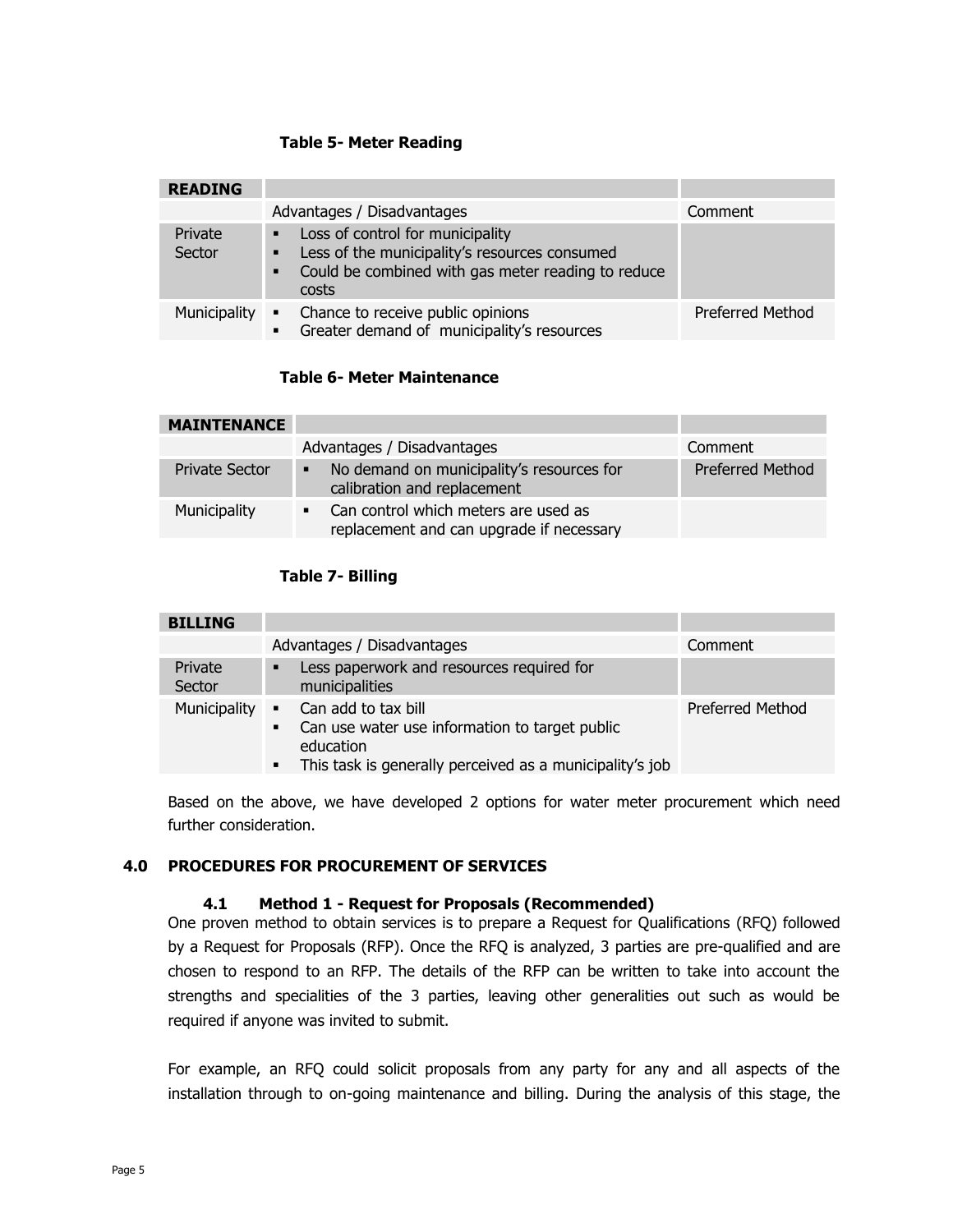## **Table 5- Meter Reading**

| <b>READING</b>    |                                                                                                                                                        |                         |
|-------------------|--------------------------------------------------------------------------------------------------------------------------------------------------------|-------------------------|
|                   | Advantages / Disadvantages                                                                                                                             | Comment                 |
| Private<br>Sector | • Loss of control for municipality<br>• Less of the municipality's resources consumed<br>• Could be combined with gas meter reading to reduce<br>costs |                         |
| Municipality      | • Chance to receive public opinions<br>Greater demand of municipality's resources<br>$\blacksquare$                                                    | <b>Preferred Method</b> |

# **Table 6- Meter Maintenance**

| <b>MAINTENANCE</b>    |                                                                                                    |                         |
|-----------------------|----------------------------------------------------------------------------------------------------|-------------------------|
|                       | Advantages / Disadvantages                                                                         | Comment                 |
| <b>Private Sector</b> | No demand on municipality's resources for<br>٠<br>calibration and replacement                      | <b>Preferred Method</b> |
| Municipality          | Can control which meters are used as<br>$\blacksquare$<br>replacement and can upgrade if necessary |                         |

# **Table 7- Billing**

| <b>BILLING</b>    |                                                                                                                                                                                        |                         |
|-------------------|----------------------------------------------------------------------------------------------------------------------------------------------------------------------------------------|-------------------------|
|                   | Advantages / Disadvantages                                                                                                                                                             | Comment                 |
| Private<br>Sector | Less paperwork and resources required for<br>٠<br>municipalities                                                                                                                       |                         |
| Municipality      | • Can add to tax bill<br>Can use water use information to target public<br>$\blacksquare$<br>education<br>This task is generally perceived as a municipality's job<br>$\blacksquare$ . | <b>Preferred Method</b> |

Based on the above, we have developed 2 options for water meter procurement which need further consideration.

# <span id="page-6-1"></span><span id="page-6-0"></span>**4.0 PROCEDURES FOR PROCUREMENT OF SERVICES**

#### **4.1 Method 1 - Request for Proposals (Recommended)**

One proven method to obtain services is to prepare a Request for Qualifications (RFQ) followed by a Request for Proposals (RFP). Once the RFQ is analyzed, 3 parties are pre-qualified and are chosen to respond to an RFP. The details of the RFP can be written to take into account the strengths and specialities of the 3 parties, leaving other generalities out such as would be required if anyone was invited to submit.

For example, an RFQ could solicit proposals from any party for any and all aspects of the installation through to on-going maintenance and billing. During the analysis of this stage, the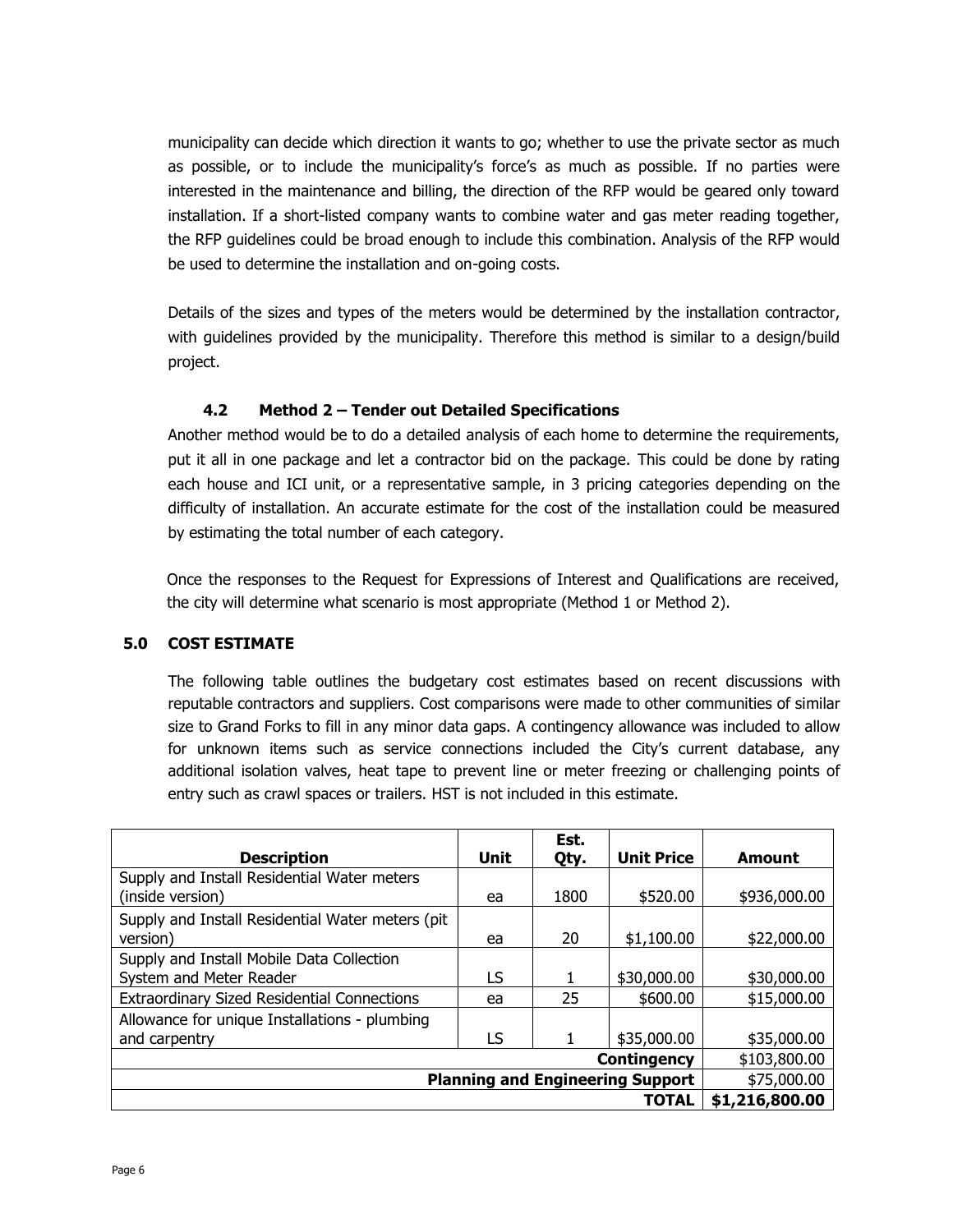municipality can decide which direction it wants to go; whether to use the private sector as much as possible, or to include the municipality's force's as much as possible. If no parties were interested in the maintenance and billing, the direction of the RFP would be geared only toward installation. If a short-listed company wants to combine water and gas meter reading together, the RFP guidelines could be broad enough to include this combination. Analysis of the RFP would be used to determine the installation and on-going costs.

Details of the sizes and types of the meters would be determined by the installation contractor, with guidelines provided by the municipality. Therefore this method is similar to a design/build project.

# **4.2 Method 2 – Tender out Detailed Specifications**

<span id="page-7-0"></span>Another method would be to do a detailed analysis of each home to determine the requirements, put it all in one package and let a contractor bid on the package. This could be done by rating each house and ICI unit, or a representative sample, in 3 pricing categories depending on the difficulty of installation. An accurate estimate for the cost of the installation could be measured by estimating the total number of each category.

Once the responses to the Request for Expressions of Interest and Qualifications are received, the city will determine what scenario is most appropriate (Method 1 or Method 2).

# <span id="page-7-1"></span>**5.0 COST ESTIMATE**

The following table outlines the budgetary cost estimates based on recent discussions with reputable contractors and suppliers. Cost comparisons were made to other communities of similar size to Grand Forks to fill in any minor data gaps. A contingency allowance was included to allow for unknown items such as service connections included the City's current database, any additional isolation valves, heat tape to prevent line or meter freezing or challenging points of entry such as crawl spaces or trailers. HST is not included in this estimate.

| <b>Description</b>                                 | <b>Unit</b> | Est.<br>Qty. | <b>Unit Price</b>  | Amount         |
|----------------------------------------------------|-------------|--------------|--------------------|----------------|
| Supply and Install Residential Water meters        |             |              |                    |                |
| (inside version)                                   | ea          | 1800         | \$520.00           | \$936,000.00   |
| Supply and Install Residential Water meters (pit)  |             |              |                    |                |
| version)                                           | ea          | 20           | \$1,100.00         | \$22,000.00    |
| Supply and Install Mobile Data Collection          |             |              |                    |                |
| System and Meter Reader                            | LS          |              | \$30,000.00        | \$30,000.00    |
| <b>Extraordinary Sized Residential Connections</b> | ea          | 25           | \$600.00           | \$15,000.00    |
| Allowance for unique Installations - plumbing      |             |              |                    |                |
| and carpentry                                      | LS          |              | \$35,000.00        | \$35,000.00    |
|                                                    |             |              | <b>Contingency</b> | \$103,800.00   |
| <b>Planning and Engineering Support</b>            |             |              | \$75,000.00        |                |
|                                                    |             |              | TOTAL              | \$1,216,800.00 |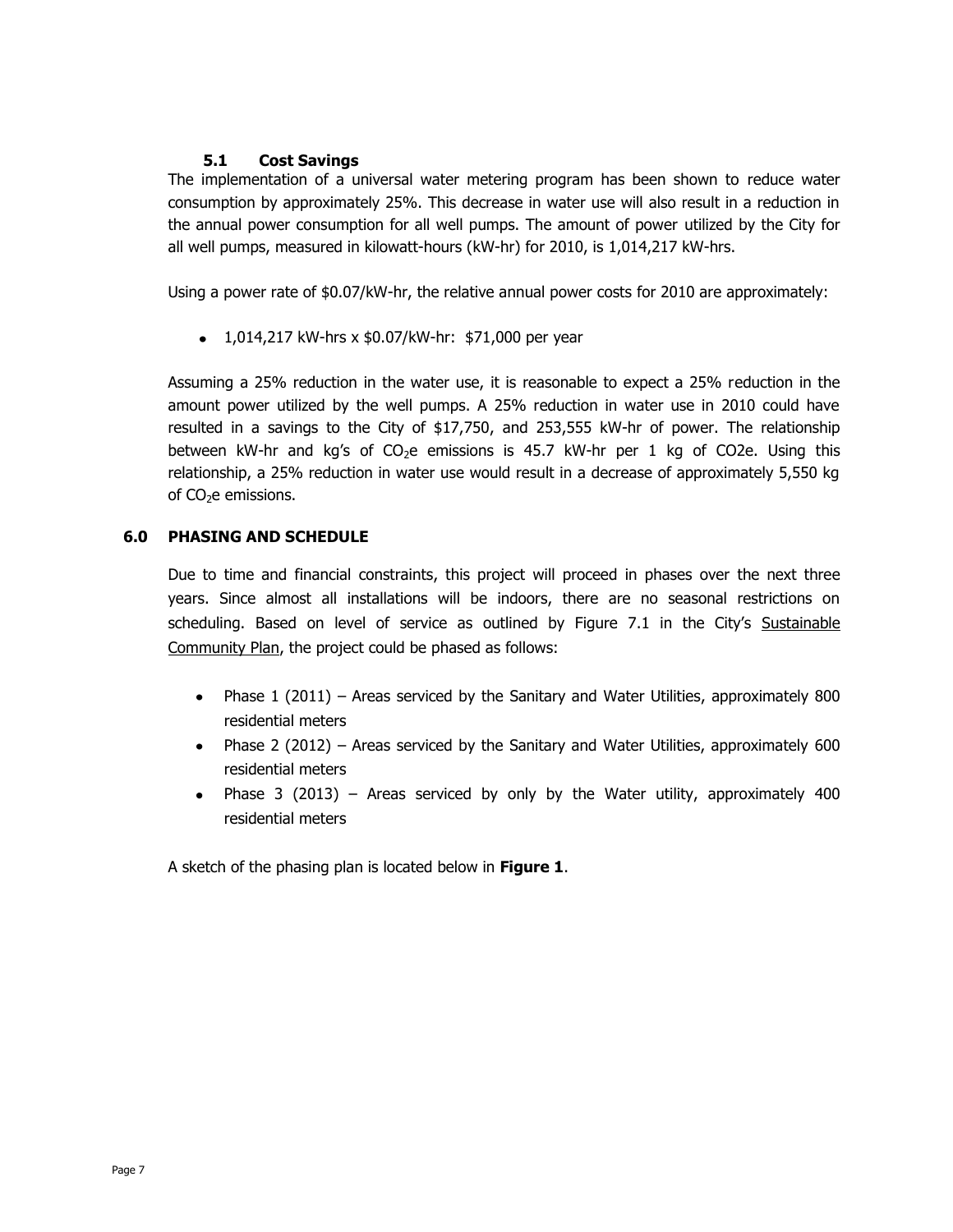# **5.1 Cost Savings**

<span id="page-8-0"></span>The implementation of a universal water metering program has been shown to reduce water consumption by approximately 25%. This decrease in water use will also result in a reduction in the annual power consumption for all well pumps. The amount of power utilized by the City for all well pumps, measured in kilowatt-hours (kW-hr) for 2010, is 1,014,217 kW-hrs.

Using a power rate of \$0.07/kW-hr, the relative annual power costs for 2010 are approximately:

 $\bullet$  1,014,217 kW-hrs x \$0.07/kW-hr: \$71,000 per year

Assuming a 25% reduction in the water use, it is reasonable to expect a 25% reduction in the amount power utilized by the well pumps. A 25% reduction in water use in 2010 could have resulted in a savings to the City of \$17,750, and 253,555 kW-hr of power. The relationship between kW-hr and kg's of  $CO<sub>2</sub>e$  emissions is 45.7 kW-hr per 1 kg of CO2e. Using this relationship, a 25% reduction in water use would result in a decrease of approximately 5,550 kg of  $CO<sub>2</sub>e$  emissions.

## <span id="page-8-1"></span>**6.0 PHASING AND SCHEDULE**

Due to time and financial constraints, this project will proceed in phases over the next three years. Since almost all installations will be indoors, there are no seasonal restrictions on scheduling. Based on level of service as outlined by Figure 7.1 in the City's Sustainable Community Plan, the project could be phased as follows:

- Phase 1 (2011) Areas serviced by the Sanitary and Water Utilities, approximately 800 residential meters
- Phase 2 (2012) Areas serviced by the Sanitary and Water Utilities, approximately 600 residential meters
- $\bullet$ Phase 3 (2013) – Areas serviced by only by the Water utility, approximately 400 residential meters

A sketch of the phasing plan is located below in **Figure 1**.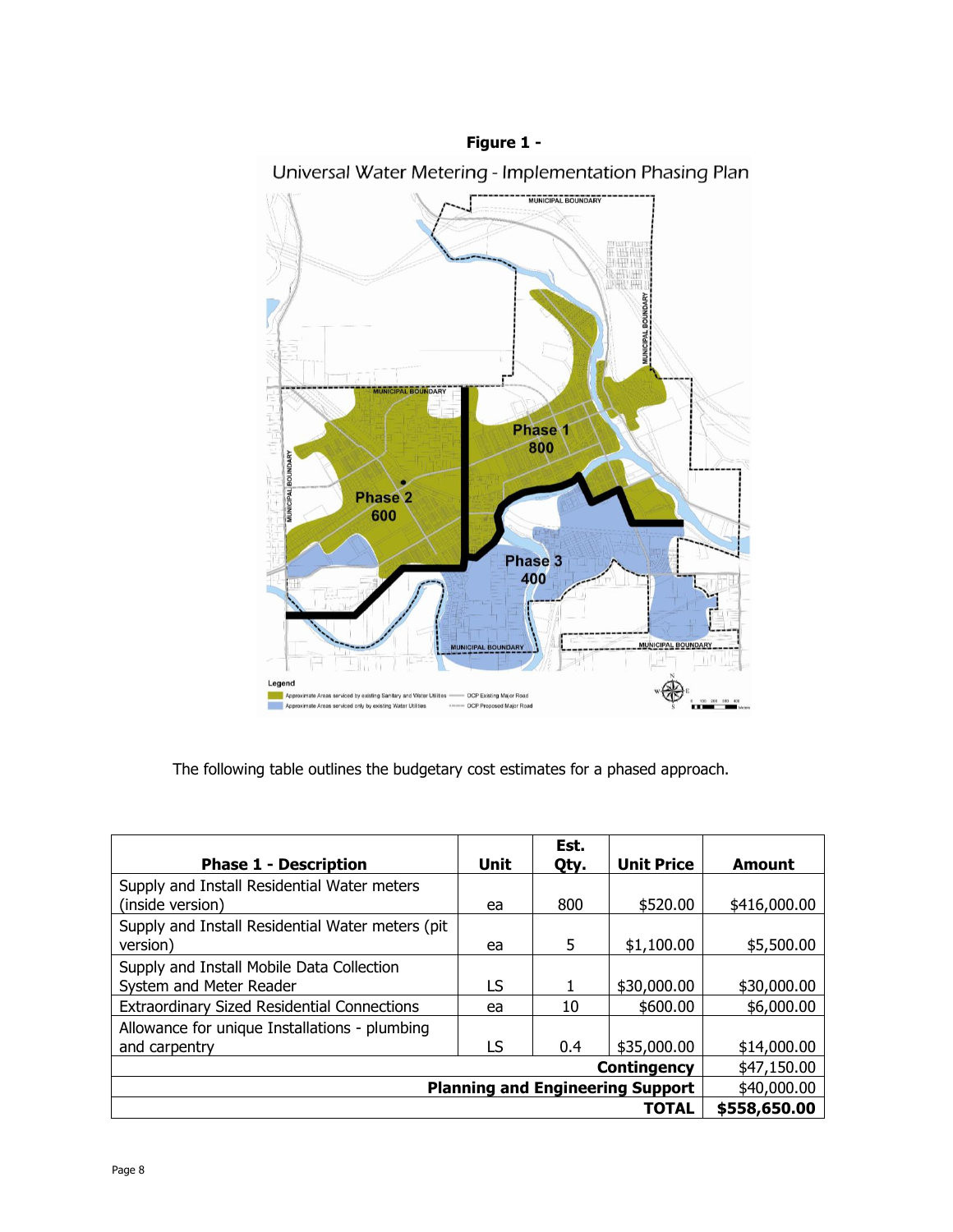

The following table outlines the budgetary cost estimates for a phased approach.

|                                                                      |             | Est. |                   |              |
|----------------------------------------------------------------------|-------------|------|-------------------|--------------|
| <b>Phase 1 - Description</b>                                         | Unit        | Qty. | <b>Unit Price</b> | Amount       |
| Supply and Install Residential Water meters<br>(inside version)      | ea          | 800  | \$520.00          | \$416,000.00 |
| Supply and Install Residential Water meters (pit<br>version)         | ea          | 5    | \$1,100.00        | \$5,500.00   |
| Supply and Install Mobile Data Collection<br>System and Meter Reader | LS          |      | \$30,000.00       | \$30,000.00  |
| <b>Extraordinary Sized Residential Connections</b>                   | ea          | 10   | \$600.00          | \$6,000.00   |
| Allowance for unique Installations - plumbing<br>and carpentry       | LS          | 0.4  | \$35,000.00       | \$14,000.00  |
|                                                                      |             |      | Contingency       | \$47,150.00  |
| <b>Planning and Engineering Support</b>                              | \$40,000.00 |      |                   |              |
|                                                                      |             |      | TOTAL             | \$558,650.00 |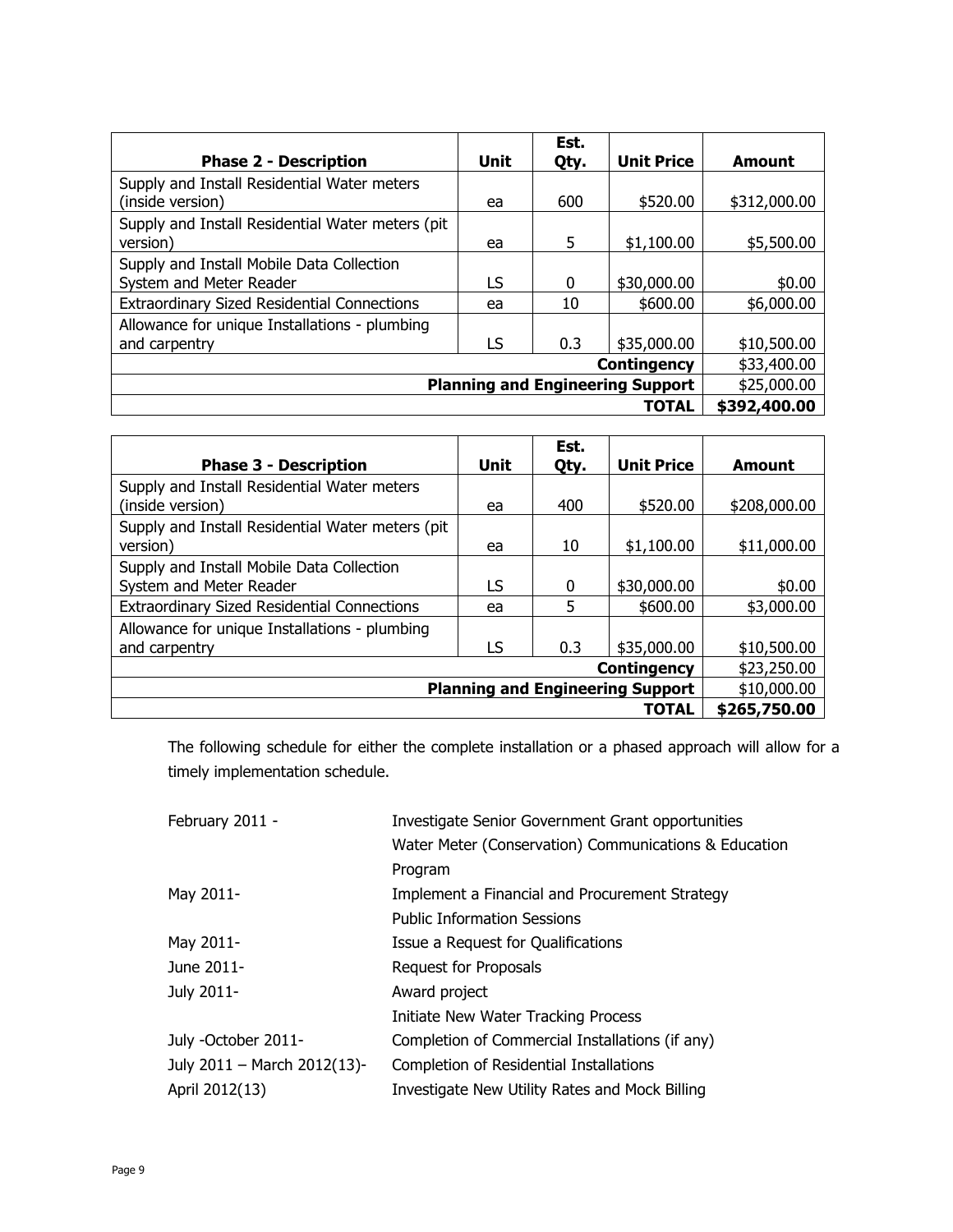| <b>Phase 2 - Description</b>                                         | <b>Unit</b>  | Est.<br>Qty. | <b>Unit Price</b> | Amount       |
|----------------------------------------------------------------------|--------------|--------------|-------------------|--------------|
| Supply and Install Residential Water meters<br>(inside version)      | ea           | 600          | \$520.00          | \$312,000.00 |
| Supply and Install Residential Water meters (pit<br>version)         | ea           | 5            | \$1,100.00        | \$5,500.00   |
| Supply and Install Mobile Data Collection<br>System and Meter Reader | LS           | 0            | \$30,000.00       | \$0.00       |
| <b>Extraordinary Sized Residential Connections</b>                   | ea           | 10           | \$600.00          | \$6,000.00   |
| Allowance for unique Installations - plumbing<br>and carpentry       | LS           | 0.3          | \$35,000.00       | \$10,500.00  |
| <b>Contingency</b>                                                   |              |              |                   | \$33,400.00  |
| <b>Planning and Engineering Support</b>                              |              |              |                   | \$25,000.00  |
|                                                                      | \$392,400.00 |              |                   |              |

|                                                    |              | Est. |                   |               |
|----------------------------------------------------|--------------|------|-------------------|---------------|
| <b>Phase 3 - Description</b>                       | Unit         | Qty. | <b>Unit Price</b> | <b>Amount</b> |
| Supply and Install Residential Water meters        |              |      |                   |               |
| (inside version)                                   | ea           | 400  | \$520.00          | \$208,000.00  |
| Supply and Install Residential Water meters (pit)  |              |      |                   |               |
| version)                                           | ea           | 10   | \$1,100.00        | \$11,000.00   |
| Supply and Install Mobile Data Collection          |              |      |                   |               |
| System and Meter Reader                            | LS           | 0    | \$30,000.00       | \$0.00        |
| <b>Extraordinary Sized Residential Connections</b> | ea           | 5    | \$600.00          | \$3,000.00    |
| Allowance for unique Installations - plumbing      |              |      |                   |               |
| and carpentry                                      | LS           | 0.3  | \$35,000.00       | \$10,500.00   |
|                                                    | \$23,250.00  |      |                   |               |
| <b>Planning and Engineering Support</b>            | \$10,000.00  |      |                   |               |
|                                                    | \$265,750.00 |      |                   |               |

The following schedule for either the complete installation or a phased approach will allow for a timely implementation schedule.

| Investigate Senior Government Grant opportunities     |  |  |
|-------------------------------------------------------|--|--|
| Water Meter (Conservation) Communications & Education |  |  |
| Program                                               |  |  |
| Implement a Financial and Procurement Strategy        |  |  |
| <b>Public Information Sessions</b>                    |  |  |
| Issue a Request for Qualifications                    |  |  |
| Request for Proposals                                 |  |  |
| Award project                                         |  |  |
| Initiate New Water Tracking Process                   |  |  |
| Completion of Commercial Installations (if any)       |  |  |
| Completion of Residential Installations               |  |  |
| Investigate New Utility Rates and Mock Billing        |  |  |
|                                                       |  |  |